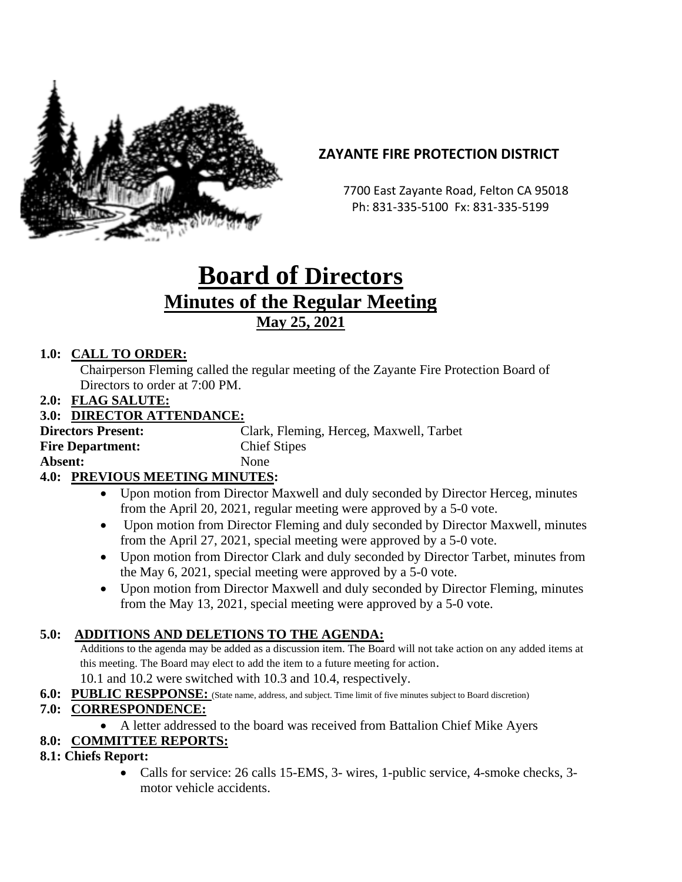

# **ZAYANTE FIRE PROTECTION DISTRICT**

 7700 East Zayante Road, Felton CA 95018 Ph: 831-335-5100 Fx: 831-335-5199

# **Board of Directors Minutes of the Regular Meeting May 25, 2021**

# **1.0: CALL TO ORDER:**

Chairperson Fleming called the regular meeting of the Zayante Fire Protection Board of Directors to order at 7:00 PM.

#### **2.0: FLAG SALUTE:**

#### **3.0: DIRECTOR ATTENDANCE:**

| <b>Directors Present:</b> | Clark, Fleming, Herceg, Maxwell, Tarbet |
|---------------------------|-----------------------------------------|
| <b>Fire Department:</b>   | <b>Chief Stipes</b>                     |
| <b>Absent:</b>            | <b>None</b>                             |
|                           |                                         |

# **4.0: PREVIOUS MEETING MINUTES:**

- Upon motion from Director Maxwell and duly seconded by Director Herceg, minutes from the April 20, 2021, regular meeting were approved by a 5-0 vote.
- Upon motion from Director Fleming and duly seconded by Director Maxwell, minutes from the April 27, 2021, special meeting were approved by a 5-0 vote.
- Upon motion from Director Clark and duly seconded by Director Tarbet, minutes from the May 6, 2021, special meeting were approved by a 5-0 vote.
- Upon motion from Director Maxwell and duly seconded by Director Fleming, minutes from the May 13, 2021, special meeting were approved by a 5-0 vote.

# **5.0: ADDITIONS AND DELETIONS TO THE AGENDA:**

Additions to the agenda may be added as a discussion item. The Board will not take action on any added items at this meeting. The Board may elect to add the item to a future meeting for action.

10.1 and 10.2 were switched with 10.3 and 10.4, respectively.

**6.0: PUBLIC RESPPONSE:** (State name, address, and subject. Time limit of five minutes subject to Board discretion)

# **7.0: CORRESPONDENCE:**

• A letter addressed to the board was received from Battalion Chief Mike Ayers

# **8.0: COMMITTEE REPORTS:**

# **8.1: Chiefs Report:**

• Calls for service: 26 calls 15-EMS, 3- wires, 1-public service, 4-smoke checks, 3 motor vehicle accidents.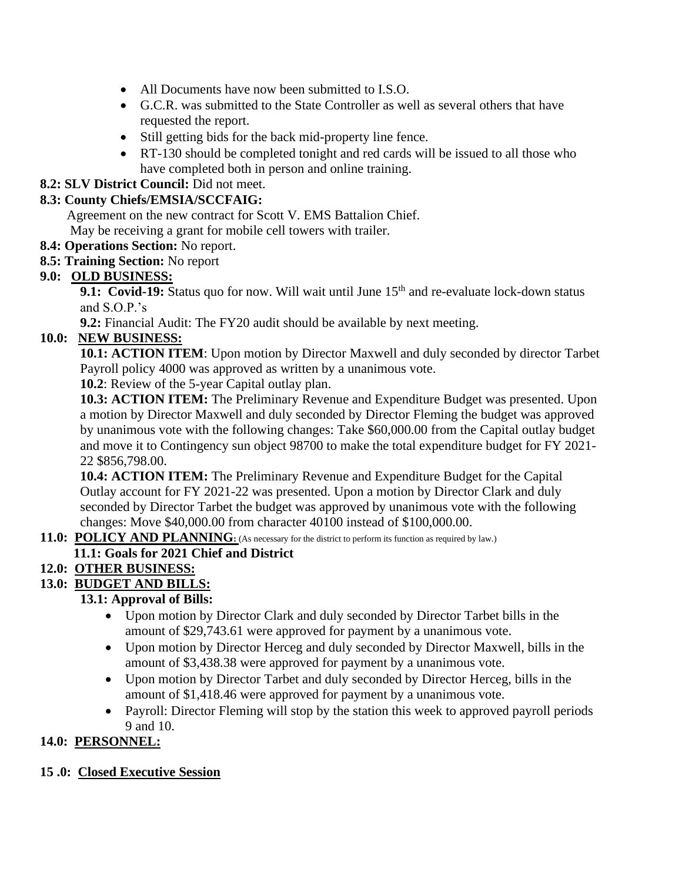- All Documents have now been submitted to I.S.O.
- G.C.R. was submitted to the State Controller as well as several others that have requested the report.
- Still getting bids for the back mid-property line fence.
- RT-130 should be completed tonight and red cards will be issued to all those who have completed both in person and online training.

# **8.2: SLV District Council:** Did not meet.

# **8.3: County Chiefs/EMSIA/SCCFAIG:**

 Agreement on the new contract for Scott V. EMS Battalion Chief. May be receiving a grant for mobile cell towers with trailer.

#### **8.4: Operations Section:** No report.

**8.5: Training Section:** No report

# **9.0: OLD BUSINESS:**

9.1: Covid-19: Status quo for now. Will wait until June 15<sup>th</sup> and re-evaluate lock-down status and S.O.P.'s

**9.2:** Financial Audit: The FY20 audit should be available by next meeting.

# **10.0: NEW BUSINESS:**

**10.1: ACTION ITEM**: Upon motion by Director Maxwell and duly seconded by director Tarbet Payroll policy 4000 was approved as written by a unanimous vote.

**10.2**: Review of the 5-year Capital outlay plan.

**10.3: ACTION ITEM:** The Preliminary Revenue and Expenditure Budget was presented. Upon a motion by Director Maxwell and duly seconded by Director Fleming the budget was approved by unanimous vote with the following changes: Take \$60,000.00 from the Capital outlay budget and move it to Contingency sun object 98700 to make the total expenditure budget for FY 2021- 22 \$856,798.00.

**10.4: ACTION ITEM:** The Preliminary Revenue and Expenditure Budget for the Capital Outlay account for FY 2021-22 was presented. Upon a motion by Director Clark and duly seconded by Director Tarbet the budget was approved by unanimous vote with the following changes: Move \$40,000.00 from character 40100 instead of \$100,000.00.

# **11.0: POLICY AND PLANNING**: (As necessary for the district to perform its function as required by law.)

# **11.1: Goals for 2021 Chief and District**

# **12.0: OTHER BUSINESS:**

#### **13.0: BUDGET AND BILLS:**

# **13.1: Approval of Bills:**

- Upon motion by Director Clark and duly seconded by Director Tarbet bills in the amount of \$29,743.61 were approved for payment by a unanimous vote.
- Upon motion by Director Herceg and duly seconded by Director Maxwell, bills in the amount of \$3,438.38 were approved for payment by a unanimous vote.
- Upon motion by Director Tarbet and duly seconded by Director Herceg, bills in the amount of \$1,418.46 were approved for payment by a unanimous vote.
- Payroll: Director Fleming will stop by the station this week to approved payroll periods 9 and 10.

# **14.0: PERSONNEL:**

# **15 .0: Closed Executive Session**